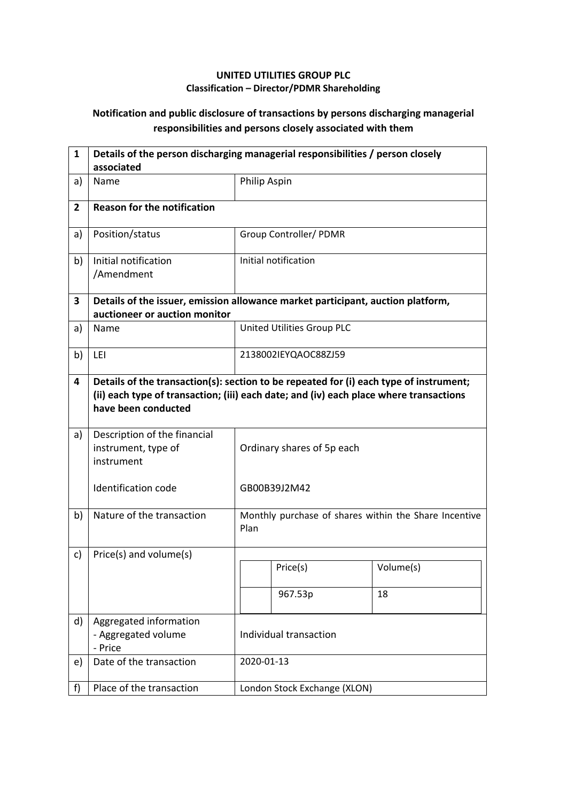## **UNITED UTILITIES GROUP PLC Classification – Director/PDMR Shareholding**

## **Notification and public disclosure of transactions by persons discharging managerial responsibilities and persons closely associated with them**

| $\mathbf{1}$ | Details of the person discharging managerial responsibilities / person closely<br>associated                                                                                                            |                            |                              |                                                       |  |
|--------------|---------------------------------------------------------------------------------------------------------------------------------------------------------------------------------------------------------|----------------------------|------------------------------|-------------------------------------------------------|--|
| a)           | Name                                                                                                                                                                                                    | Philip Aspin               |                              |                                                       |  |
| $\mathbf{2}$ | <b>Reason for the notification</b>                                                                                                                                                                      |                            |                              |                                                       |  |
| a)           | Position/status                                                                                                                                                                                         |                            | Group Controller/ PDMR       |                                                       |  |
| b)           | Initial notification<br>/Amendment                                                                                                                                                                      |                            | Initial notification         |                                                       |  |
| 3            | Details of the issuer, emission allowance market participant, auction platform,<br>auctioneer or auction monitor                                                                                        |                            |                              |                                                       |  |
| a)           | <b>Name</b>                                                                                                                                                                                             |                            | United Utilities Group PLC   |                                                       |  |
| b)           | LEI                                                                                                                                                                                                     |                            | 2138002IEYQAOC88ZJ59         |                                                       |  |
| 4            | Details of the transaction(s): section to be repeated for (i) each type of instrument;<br>(ii) each type of transaction; (iii) each date; and (iv) each place where transactions<br>have been conducted |                            |                              |                                                       |  |
| a)           | Description of the financial<br>instrument, type of<br>instrument                                                                                                                                       | Ordinary shares of 5p each |                              |                                                       |  |
|              | <b>Identification code</b>                                                                                                                                                                              |                            | GB00B39J2M42                 |                                                       |  |
| b)           | Nature of the transaction                                                                                                                                                                               | Plan                       |                              | Monthly purchase of shares within the Share Incentive |  |
| c)           | Price(s) and volume(s)                                                                                                                                                                                  |                            |                              |                                                       |  |
|              |                                                                                                                                                                                                         |                            | Price(s)                     | Volume(s)                                             |  |
|              |                                                                                                                                                                                                         |                            | 967.53p                      | 18                                                    |  |
| d)           | Aggregated information<br>- Aggregated volume<br>- Price                                                                                                                                                | Individual transaction     |                              |                                                       |  |
| e)           | Date of the transaction                                                                                                                                                                                 |                            | 2020-01-13                   |                                                       |  |
| f)           | Place of the transaction                                                                                                                                                                                |                            | London Stock Exchange (XLON) |                                                       |  |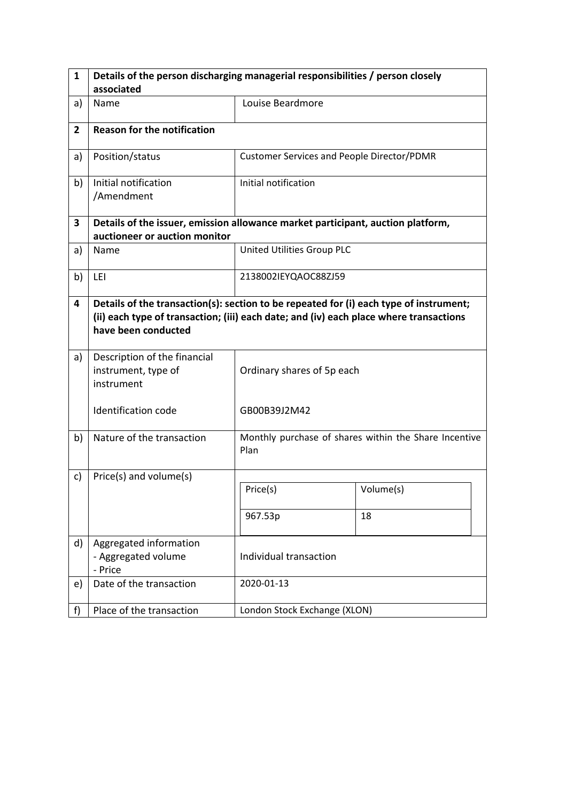| $\mathbf{1}$   | Details of the person discharging managerial responsibilities / person closely                                                                                                                          |                                                   |                                                       |  |  |  |
|----------------|---------------------------------------------------------------------------------------------------------------------------------------------------------------------------------------------------------|---------------------------------------------------|-------------------------------------------------------|--|--|--|
|                | associated                                                                                                                                                                                              |                                                   |                                                       |  |  |  |
| a)             | Name                                                                                                                                                                                                    | Louise Beardmore                                  |                                                       |  |  |  |
| $\overline{2}$ | <b>Reason for the notification</b>                                                                                                                                                                      |                                                   |                                                       |  |  |  |
| a)             | Position/status                                                                                                                                                                                         | <b>Customer Services and People Director/PDMR</b> |                                                       |  |  |  |
| b)             | Initial notification<br>/Amendment                                                                                                                                                                      | Initial notification                              |                                                       |  |  |  |
| 3              | Details of the issuer, emission allowance market participant, auction platform,<br>auctioneer or auction monitor                                                                                        |                                                   |                                                       |  |  |  |
| a)             | Name                                                                                                                                                                                                    | United Utilities Group PLC                        |                                                       |  |  |  |
| b)             | LEI                                                                                                                                                                                                     | 2138002IEYQAOC88ZJ59                              |                                                       |  |  |  |
| 4              | Details of the transaction(s): section to be repeated for (i) each type of instrument;<br>(ii) each type of transaction; (iii) each date; and (iv) each place where transactions<br>have been conducted |                                                   |                                                       |  |  |  |
| a)             | Description of the financial<br>instrument, type of<br>instrument                                                                                                                                       | Ordinary shares of 5p each                        |                                                       |  |  |  |
|                | Identification code                                                                                                                                                                                     | GB00B39J2M42                                      |                                                       |  |  |  |
| b)             | Nature of the transaction                                                                                                                                                                               | Plan                                              | Monthly purchase of shares within the Share Incentive |  |  |  |
| c)             | Price(s) and volume(s)                                                                                                                                                                                  |                                                   |                                                       |  |  |  |
|                |                                                                                                                                                                                                         | Price(s)                                          | Volume(s)                                             |  |  |  |
|                |                                                                                                                                                                                                         | 967.53p                                           | 18                                                    |  |  |  |
| d)             | Aggregated information<br>- Aggregated volume<br>- Price                                                                                                                                                | Individual transaction                            |                                                       |  |  |  |
| e)             | Date of the transaction                                                                                                                                                                                 | 2020-01-13                                        |                                                       |  |  |  |
| f)             | Place of the transaction                                                                                                                                                                                | London Stock Exchange (XLON)                      |                                                       |  |  |  |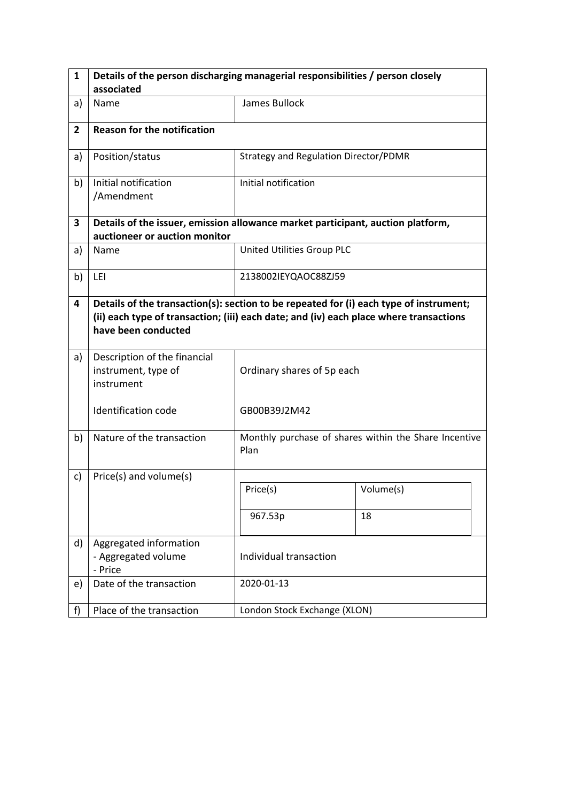| 1              | Details of the person discharging managerial responsibilities / person closely                                                                                                                          |                                              |                                                       |  |  |  |
|----------------|---------------------------------------------------------------------------------------------------------------------------------------------------------------------------------------------------------|----------------------------------------------|-------------------------------------------------------|--|--|--|
|                | associated                                                                                                                                                                                              |                                              |                                                       |  |  |  |
| a)             | Name                                                                                                                                                                                                    | James Bullock                                |                                                       |  |  |  |
| $\overline{2}$ | <b>Reason for the notification</b>                                                                                                                                                                      |                                              |                                                       |  |  |  |
| a)             | Position/status                                                                                                                                                                                         | <b>Strategy and Regulation Director/PDMR</b> |                                                       |  |  |  |
| b)             | Initial notification<br>/Amendment                                                                                                                                                                      | Initial notification                         |                                                       |  |  |  |
| 3              | Details of the issuer, emission allowance market participant, auction platform,<br>auctioneer or auction monitor                                                                                        |                                              |                                                       |  |  |  |
| a)             | Name                                                                                                                                                                                                    | United Utilities Group PLC                   |                                                       |  |  |  |
| b)             | LEI                                                                                                                                                                                                     | 2138002IEYQAOC88ZJ59                         |                                                       |  |  |  |
| 4              | Details of the transaction(s): section to be repeated for (i) each type of instrument;<br>(ii) each type of transaction; (iii) each date; and (iv) each place where transactions<br>have been conducted |                                              |                                                       |  |  |  |
| a)             | Description of the financial<br>instrument, type of<br>instrument                                                                                                                                       | Ordinary shares of 5p each                   |                                                       |  |  |  |
|                | <b>Identification code</b>                                                                                                                                                                              | GB00B39J2M42                                 |                                                       |  |  |  |
| b)             | Nature of the transaction                                                                                                                                                                               | Plan                                         | Monthly purchase of shares within the Share Incentive |  |  |  |
| c)             | Price(s) and volume(s)                                                                                                                                                                                  |                                              |                                                       |  |  |  |
|                |                                                                                                                                                                                                         | Price(s)                                     | Volume(s)                                             |  |  |  |
|                |                                                                                                                                                                                                         | 967.53p                                      | 18                                                    |  |  |  |
| d)             | Aggregated information<br>- Aggregated volume<br>- Price                                                                                                                                                | Individual transaction                       |                                                       |  |  |  |
| e)             | Date of the transaction                                                                                                                                                                                 | 2020-01-13                                   |                                                       |  |  |  |
| f)             | Place of the transaction                                                                                                                                                                                | London Stock Exchange (XLON)                 |                                                       |  |  |  |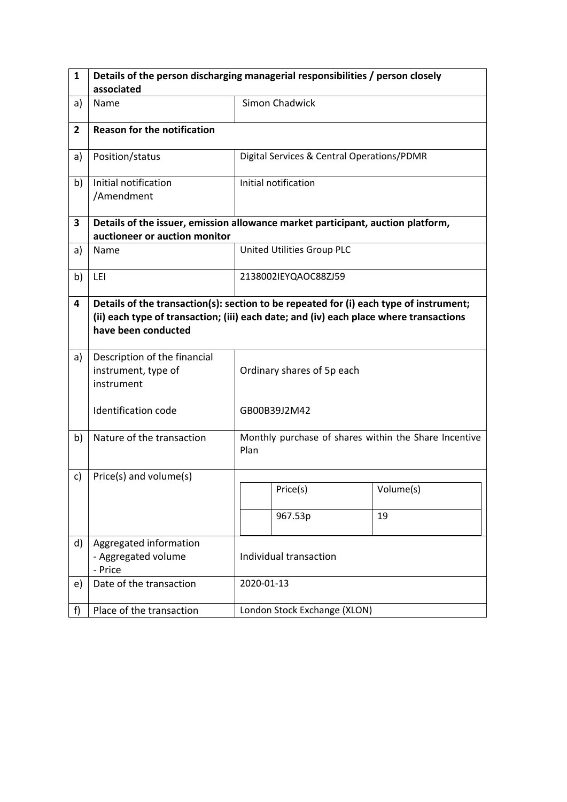| $\mathbf{1}$   | Details of the person discharging managerial responsibilities / person closely                                                                                                                          |                            |                                                       |           |  |
|----------------|---------------------------------------------------------------------------------------------------------------------------------------------------------------------------------------------------------|----------------------------|-------------------------------------------------------|-----------|--|
|                | associated                                                                                                                                                                                              |                            |                                                       |           |  |
| a)             | Name                                                                                                                                                                                                    |                            | Simon Chadwick                                        |           |  |
| $\overline{2}$ | <b>Reason for the notification</b>                                                                                                                                                                      |                            |                                                       |           |  |
| a)             | Position/status                                                                                                                                                                                         |                            | Digital Services & Central Operations/PDMR            |           |  |
| b)             | Initial notification<br>/Amendment                                                                                                                                                                      |                            | Initial notification                                  |           |  |
| 3              | Details of the issuer, emission allowance market participant, auction platform,<br>auctioneer or auction monitor                                                                                        |                            |                                                       |           |  |
| a)             | Name                                                                                                                                                                                                    |                            | United Utilities Group PLC                            |           |  |
| b)             | LEI                                                                                                                                                                                                     |                            | 2138002IEYQAOC88ZJ59                                  |           |  |
| 4              | Details of the transaction(s): section to be repeated for (i) each type of instrument;<br>(ii) each type of transaction; (iii) each date; and (iv) each place where transactions<br>have been conducted |                            |                                                       |           |  |
| a)             | Description of the financial<br>instrument, type of<br>instrument                                                                                                                                       | Ordinary shares of 5p each |                                                       |           |  |
|                | <b>Identification code</b>                                                                                                                                                                              |                            | GB00B39J2M42                                          |           |  |
| b)             | Nature of the transaction                                                                                                                                                                               | Plan                       | Monthly purchase of shares within the Share Incentive |           |  |
| c)             | Price(s) and volume(s)                                                                                                                                                                                  |                            |                                                       |           |  |
|                |                                                                                                                                                                                                         |                            | Price(s)                                              | Volume(s) |  |
|                |                                                                                                                                                                                                         |                            | 967.53p                                               | 19        |  |
| d)             | Aggregated information<br>- Aggregated volume<br>- Price                                                                                                                                                | Individual transaction     |                                                       |           |  |
| e)             | Date of the transaction                                                                                                                                                                                 |                            | 2020-01-13                                            |           |  |
| f)             | Place of the transaction                                                                                                                                                                                |                            | London Stock Exchange (XLON)                          |           |  |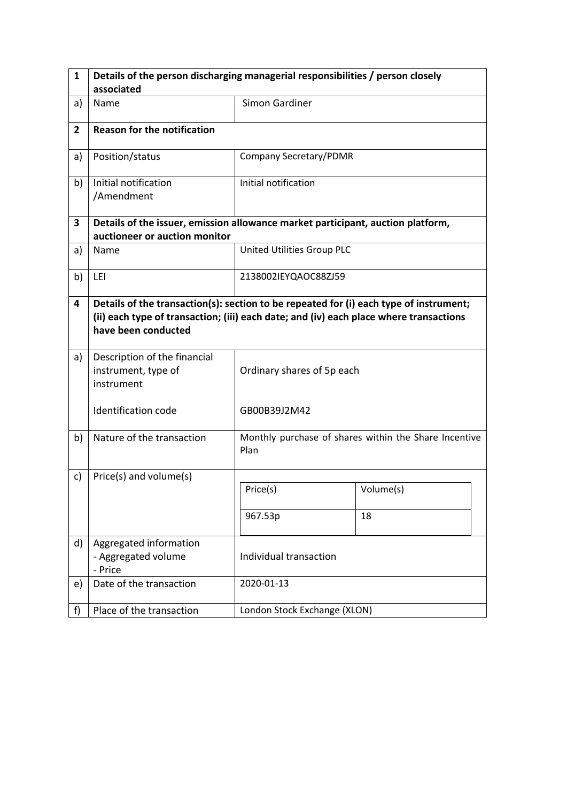| $\mathbf{1}$   | Details of the person discharging managerial responsibilities / person closely                                                                                                                          |                              |                                                       |  |  |  |
|----------------|---------------------------------------------------------------------------------------------------------------------------------------------------------------------------------------------------------|------------------------------|-------------------------------------------------------|--|--|--|
|                | associated                                                                                                                                                                                              |                              |                                                       |  |  |  |
| a)             | Name                                                                                                                                                                                                    | <b>Simon Gardiner</b>        |                                                       |  |  |  |
| $\overline{2}$ | <b>Reason for the notification</b>                                                                                                                                                                      |                              |                                                       |  |  |  |
| a)             | Position/status                                                                                                                                                                                         | Company Secretary/PDMR       |                                                       |  |  |  |
| b)             | Initial notification<br>/Amendment                                                                                                                                                                      | Initial notification         |                                                       |  |  |  |
| 3              | Details of the issuer, emission allowance market participant, auction platform,<br>auctioneer or auction monitor                                                                                        |                              |                                                       |  |  |  |
| a)             | Name                                                                                                                                                                                                    | United Utilities Group PLC   |                                                       |  |  |  |
| b)             | LEI                                                                                                                                                                                                     | 2138002IEYQAOC88ZJ59         |                                                       |  |  |  |
| 4              | Details of the transaction(s): section to be repeated for (i) each type of instrument;<br>(ii) each type of transaction; (iii) each date; and (iv) each place where transactions<br>have been conducted |                              |                                                       |  |  |  |
| a)             | Description of the financial<br>instrument, type of<br>instrument                                                                                                                                       | Ordinary shares of 5p each   |                                                       |  |  |  |
|                | Identification code                                                                                                                                                                                     | GB00B39J2M42                 |                                                       |  |  |  |
| b)             | Nature of the transaction                                                                                                                                                                               | Plan                         | Monthly purchase of shares within the Share Incentive |  |  |  |
| c)             | Price(s) and volume(s)                                                                                                                                                                                  |                              |                                                       |  |  |  |
|                |                                                                                                                                                                                                         | Price(s)                     | Volume(s)                                             |  |  |  |
|                |                                                                                                                                                                                                         | 967.53p                      | 18                                                    |  |  |  |
| d)             | Aggregated information<br>- Aggregated volume<br>- Price                                                                                                                                                | Individual transaction       |                                                       |  |  |  |
| e)             | Date of the transaction                                                                                                                                                                                 | 2020-01-13                   |                                                       |  |  |  |
| f)             | Place of the transaction                                                                                                                                                                                | London Stock Exchange (XLON) |                                                       |  |  |  |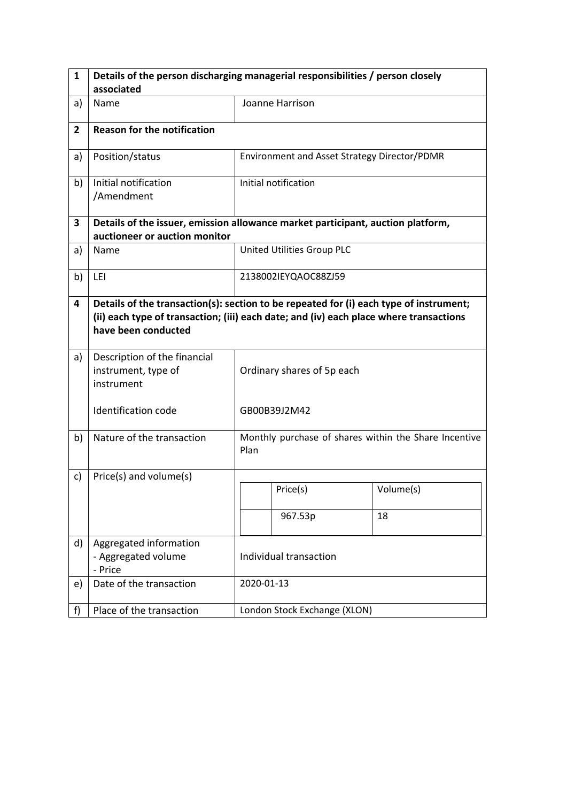| 1              | Details of the person discharging managerial responsibilities / person closely                                                                                                                          |                            |                                                       |           |  |
|----------------|---------------------------------------------------------------------------------------------------------------------------------------------------------------------------------------------------------|----------------------------|-------------------------------------------------------|-----------|--|
|                | associated                                                                                                                                                                                              |                            |                                                       |           |  |
| a)             | Name                                                                                                                                                                                                    |                            | Joanne Harrison                                       |           |  |
| $\overline{2}$ | <b>Reason for the notification</b>                                                                                                                                                                      |                            |                                                       |           |  |
| a)             | Position/status                                                                                                                                                                                         |                            | Environment and Asset Strategy Director/PDMR          |           |  |
| b)             | Initial notification<br>/Amendment                                                                                                                                                                      |                            | Initial notification                                  |           |  |
| 3              | Details of the issuer, emission allowance market participant, auction platform,<br>auctioneer or auction monitor                                                                                        |                            |                                                       |           |  |
| a)             | Name                                                                                                                                                                                                    |                            | United Utilities Group PLC                            |           |  |
| b)             | LEI                                                                                                                                                                                                     |                            | 2138002IEYQAOC88ZJ59                                  |           |  |
| 4              | Details of the transaction(s): section to be repeated for (i) each type of instrument;<br>(ii) each type of transaction; (iii) each date; and (iv) each place where transactions<br>have been conducted |                            |                                                       |           |  |
| a)             | Description of the financial<br>instrument, type of<br>instrument                                                                                                                                       | Ordinary shares of 5p each |                                                       |           |  |
|                | <b>Identification code</b>                                                                                                                                                                              |                            | GB00B39J2M42                                          |           |  |
| b)             | Nature of the transaction                                                                                                                                                                               | Plan                       | Monthly purchase of shares within the Share Incentive |           |  |
| c)             | Price(s) and volume(s)                                                                                                                                                                                  |                            |                                                       |           |  |
|                |                                                                                                                                                                                                         |                            | Price(s)                                              | Volume(s) |  |
|                |                                                                                                                                                                                                         |                            | 967.53p                                               | 18        |  |
| d)             | Aggregated information<br>- Aggregated volume<br>- Price                                                                                                                                                | Individual transaction     |                                                       |           |  |
| e)             | Date of the transaction                                                                                                                                                                                 |                            | 2020-01-13                                            |           |  |
| f)             | Place of the transaction                                                                                                                                                                                |                            | London Stock Exchange (XLON)                          |           |  |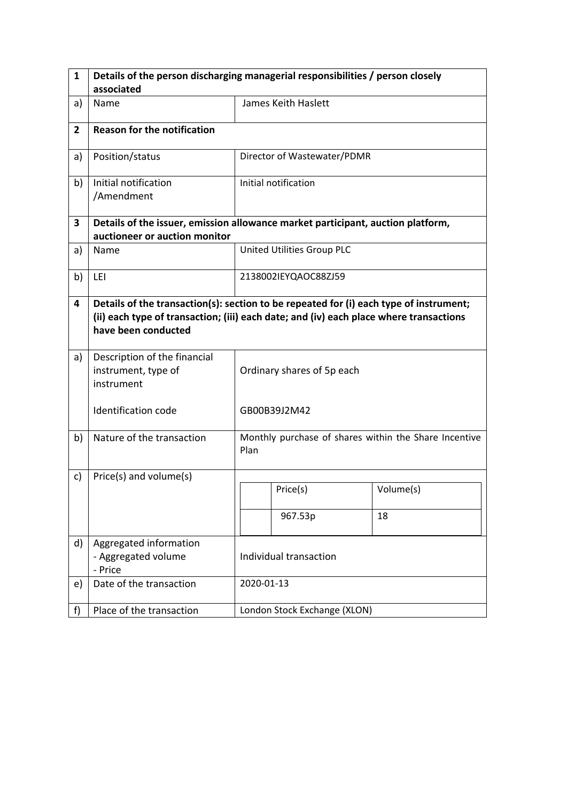| $\mathbf{1}$   | Details of the person discharging managerial responsibilities / person closely                                                                                                                          |                            |                              |                                                       |  |
|----------------|---------------------------------------------------------------------------------------------------------------------------------------------------------------------------------------------------------|----------------------------|------------------------------|-------------------------------------------------------|--|
|                | associated                                                                                                                                                                                              |                            |                              |                                                       |  |
| a)             | Name                                                                                                                                                                                                    |                            | James Keith Haslett          |                                                       |  |
| $\overline{2}$ | <b>Reason for the notification</b>                                                                                                                                                                      |                            |                              |                                                       |  |
| a)             | Position/status                                                                                                                                                                                         |                            | Director of Wastewater/PDMR  |                                                       |  |
| b)             | Initial notification<br>/Amendment                                                                                                                                                                      |                            | Initial notification         |                                                       |  |
| 3              | Details of the issuer, emission allowance market participant, auction platform,<br>auctioneer or auction monitor                                                                                        |                            |                              |                                                       |  |
| a)             | Name                                                                                                                                                                                                    |                            | United Utilities Group PLC   |                                                       |  |
| b)             | LEI                                                                                                                                                                                                     |                            | 2138002IEYQAOC88ZJ59         |                                                       |  |
| 4              | Details of the transaction(s): section to be repeated for (i) each type of instrument;<br>(ii) each type of transaction; (iii) each date; and (iv) each place where transactions<br>have been conducted |                            |                              |                                                       |  |
| a)             | Description of the financial<br>instrument, type of<br>instrument                                                                                                                                       | Ordinary shares of 5p each |                              |                                                       |  |
|                | <b>Identification code</b>                                                                                                                                                                              |                            | GB00B39J2M42                 |                                                       |  |
| b)             | Nature of the transaction                                                                                                                                                                               | Plan                       |                              | Monthly purchase of shares within the Share Incentive |  |
| c)             | Price(s) and volume(s)                                                                                                                                                                                  |                            |                              |                                                       |  |
|                |                                                                                                                                                                                                         |                            | Price(s)                     | Volume(s)                                             |  |
|                |                                                                                                                                                                                                         |                            | 967.53p                      | 18                                                    |  |
| d)             | Aggregated information<br>- Aggregated volume<br>- Price                                                                                                                                                | Individual transaction     |                              |                                                       |  |
| e)             | Date of the transaction                                                                                                                                                                                 |                            | 2020-01-13                   |                                                       |  |
| f)             | Place of the transaction                                                                                                                                                                                |                            | London Stock Exchange (XLON) |                                                       |  |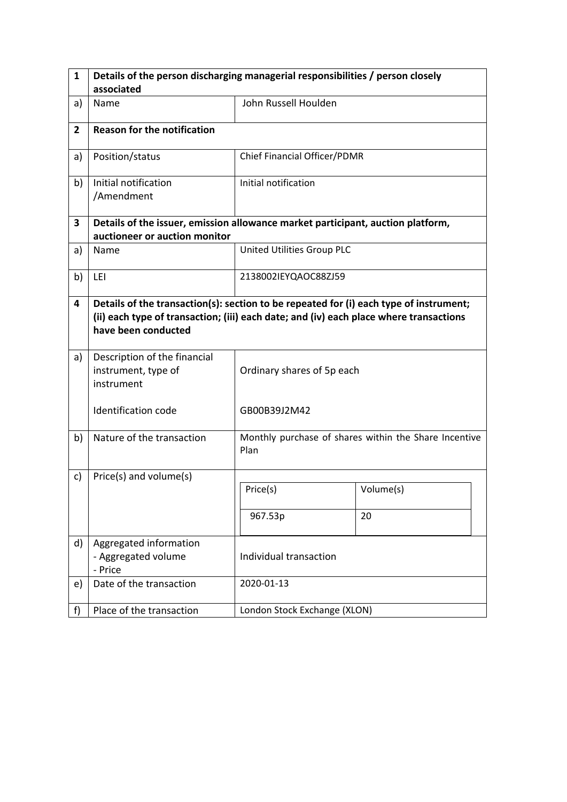| $\mathbf{1}$   | Details of the person discharging managerial responsibilities / person closely                                                                                                                          |                              |                                                       |  |  |  |
|----------------|---------------------------------------------------------------------------------------------------------------------------------------------------------------------------------------------------------|------------------------------|-------------------------------------------------------|--|--|--|
|                | associated                                                                                                                                                                                              |                              |                                                       |  |  |  |
| a)             | Name                                                                                                                                                                                                    | John Russell Houlden         |                                                       |  |  |  |
| $\overline{2}$ | <b>Reason for the notification</b>                                                                                                                                                                      |                              |                                                       |  |  |  |
| a)             | Position/status                                                                                                                                                                                         | Chief Financial Officer/PDMR |                                                       |  |  |  |
| b)             | Initial notification<br>/Amendment                                                                                                                                                                      | Initial notification         |                                                       |  |  |  |
| 3              | Details of the issuer, emission allowance market participant, auction platform,<br>auctioneer or auction monitor                                                                                        |                              |                                                       |  |  |  |
| a)             | Name                                                                                                                                                                                                    | United Utilities Group PLC   |                                                       |  |  |  |
| b)             | LEI                                                                                                                                                                                                     | 2138002IEYQAOC88ZJ59         |                                                       |  |  |  |
| 4              | Details of the transaction(s): section to be repeated for (i) each type of instrument;<br>(ii) each type of transaction; (iii) each date; and (iv) each place where transactions<br>have been conducted |                              |                                                       |  |  |  |
| a)             | Description of the financial<br>instrument, type of<br>instrument                                                                                                                                       | Ordinary shares of 5p each   |                                                       |  |  |  |
|                | Identification code                                                                                                                                                                                     | GB00B39J2M42                 |                                                       |  |  |  |
| b)             | Nature of the transaction                                                                                                                                                                               | Plan                         | Monthly purchase of shares within the Share Incentive |  |  |  |
| c)             | Price(s) and volume(s)                                                                                                                                                                                  |                              |                                                       |  |  |  |
|                |                                                                                                                                                                                                         | Price(s)                     | Volume(s)                                             |  |  |  |
|                |                                                                                                                                                                                                         | 967.53p                      | 20                                                    |  |  |  |
| d)             | Aggregated information<br>- Aggregated volume<br>- Price                                                                                                                                                | Individual transaction       |                                                       |  |  |  |
| e)             | Date of the transaction                                                                                                                                                                                 | 2020-01-13                   |                                                       |  |  |  |
| f)             | Place of the transaction                                                                                                                                                                                | London Stock Exchange (XLON) |                                                       |  |  |  |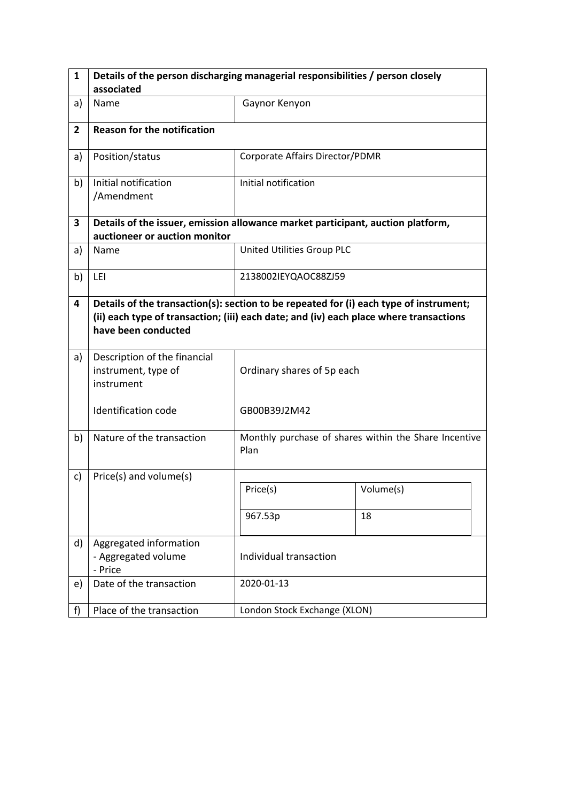| $\mathbf{1}$   | Details of the person discharging managerial responsibilities / person closely                                                                                                                          |                                 |                                                       |  |  |
|----------------|---------------------------------------------------------------------------------------------------------------------------------------------------------------------------------------------------------|---------------------------------|-------------------------------------------------------|--|--|
|                | associated                                                                                                                                                                                              |                                 |                                                       |  |  |
| a)             | Name                                                                                                                                                                                                    | Gaynor Kenyon                   |                                                       |  |  |
| $\overline{2}$ | <b>Reason for the notification</b>                                                                                                                                                                      |                                 |                                                       |  |  |
| a)             | Position/status                                                                                                                                                                                         | Corporate Affairs Director/PDMR |                                                       |  |  |
| b)             | Initial notification<br>/Amendment                                                                                                                                                                      | Initial notification            |                                                       |  |  |
| 3              | Details of the issuer, emission allowance market participant, auction platform,<br>auctioneer or auction monitor                                                                                        |                                 |                                                       |  |  |
| a)             | Name                                                                                                                                                                                                    | United Utilities Group PLC      |                                                       |  |  |
| b)             | LEI                                                                                                                                                                                                     | 2138002IEYQAOC88ZJ59            |                                                       |  |  |
| 4              | Details of the transaction(s): section to be repeated for (i) each type of instrument;<br>(ii) each type of transaction; (iii) each date; and (iv) each place where transactions<br>have been conducted |                                 |                                                       |  |  |
| a)             | Description of the financial<br>instrument, type of<br>instrument                                                                                                                                       | Ordinary shares of 5p each      |                                                       |  |  |
|                | <b>Identification code</b>                                                                                                                                                                              | GB00B39J2M42                    |                                                       |  |  |
| b)             | Nature of the transaction                                                                                                                                                                               | Plan                            | Monthly purchase of shares within the Share Incentive |  |  |
| c)             | Price(s) and volume(s)                                                                                                                                                                                  |                                 |                                                       |  |  |
|                |                                                                                                                                                                                                         | Price(s)                        | Volume(s)                                             |  |  |
|                |                                                                                                                                                                                                         | 967.53p                         | 18                                                    |  |  |
| d)             | Aggregated information<br>- Aggregated volume<br>- Price                                                                                                                                                | Individual transaction          |                                                       |  |  |
| e)             | Date of the transaction                                                                                                                                                                                 | 2020-01-13                      |                                                       |  |  |
| f)             | Place of the transaction                                                                                                                                                                                | London Stock Exchange (XLON)    |                                                       |  |  |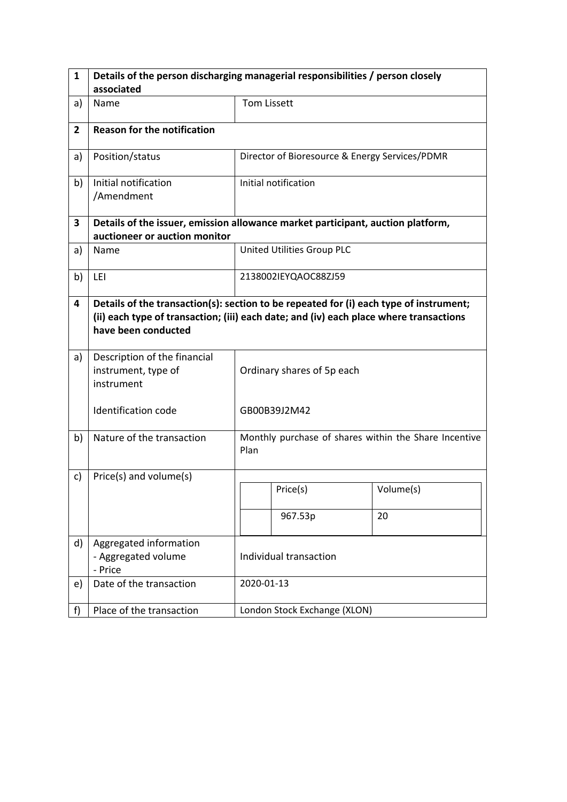| 1              | Details of the person discharging managerial responsibilities / person closely                                                                                                                          |                            |                                                       |           |  |
|----------------|---------------------------------------------------------------------------------------------------------------------------------------------------------------------------------------------------------|----------------------------|-------------------------------------------------------|-----------|--|
|                | associated                                                                                                                                                                                              |                            |                                                       |           |  |
| a)             | Name                                                                                                                                                                                                    | <b>Tom Lissett</b>         |                                                       |           |  |
| $\overline{2}$ | <b>Reason for the notification</b>                                                                                                                                                                      |                            |                                                       |           |  |
| a)             | Position/status                                                                                                                                                                                         |                            | Director of Bioresource & Energy Services/PDMR        |           |  |
| b)             | Initial notification<br>/Amendment                                                                                                                                                                      |                            | Initial notification                                  |           |  |
| 3              | Details of the issuer, emission allowance market participant, auction platform,<br>auctioneer or auction monitor                                                                                        |                            |                                                       |           |  |
| a)             | Name                                                                                                                                                                                                    |                            | United Utilities Group PLC                            |           |  |
| b)             | LEI                                                                                                                                                                                                     |                            | 2138002IEYQAOC88ZJ59                                  |           |  |
| 4              | Details of the transaction(s): section to be repeated for (i) each type of instrument;<br>(ii) each type of transaction; (iii) each date; and (iv) each place where transactions<br>have been conducted |                            |                                                       |           |  |
| a)             | Description of the financial<br>instrument, type of<br>instrument                                                                                                                                       | Ordinary shares of 5p each |                                                       |           |  |
|                | <b>Identification code</b>                                                                                                                                                                              |                            | GB00B39J2M42                                          |           |  |
| b)             | Nature of the transaction                                                                                                                                                                               | Plan                       | Monthly purchase of shares within the Share Incentive |           |  |
| c)             | Price(s) and volume(s)                                                                                                                                                                                  |                            |                                                       |           |  |
|                |                                                                                                                                                                                                         |                            | Price(s)                                              | Volume(s) |  |
|                |                                                                                                                                                                                                         |                            | 967.53p                                               | 20        |  |
| d)             | Aggregated information<br>- Aggregated volume<br>- Price                                                                                                                                                | Individual transaction     |                                                       |           |  |
| e)             | Date of the transaction                                                                                                                                                                                 |                            | 2020-01-13                                            |           |  |
| f)             | Place of the transaction                                                                                                                                                                                |                            | London Stock Exchange (XLON)                          |           |  |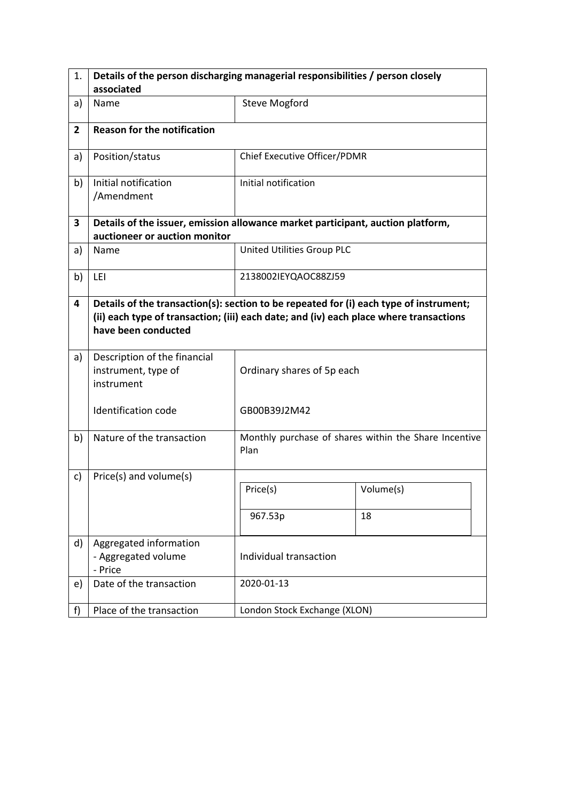| 1.             | Details of the person discharging managerial responsibilities / person closely                                                                                                                          |                              |                                                       |  |  |  |
|----------------|---------------------------------------------------------------------------------------------------------------------------------------------------------------------------------------------------------|------------------------------|-------------------------------------------------------|--|--|--|
|                | associated                                                                                                                                                                                              |                              |                                                       |  |  |  |
| a)             | Name                                                                                                                                                                                                    | <b>Steve Mogford</b>         |                                                       |  |  |  |
| $\overline{2}$ | <b>Reason for the notification</b>                                                                                                                                                                      |                              |                                                       |  |  |  |
| a)             | Position/status                                                                                                                                                                                         | Chief Executive Officer/PDMR |                                                       |  |  |  |
| b)             | Initial notification<br>/Amendment                                                                                                                                                                      | Initial notification         |                                                       |  |  |  |
| 3              | Details of the issuer, emission allowance market participant, auction platform,<br>auctioneer or auction monitor                                                                                        |                              |                                                       |  |  |  |
| a)             | Name                                                                                                                                                                                                    | United Utilities Group PLC   |                                                       |  |  |  |
| b)             | LEI                                                                                                                                                                                                     | 2138002IEYQAOC88ZJ59         |                                                       |  |  |  |
| 4              | Details of the transaction(s): section to be repeated for (i) each type of instrument;<br>(ii) each type of transaction; (iii) each date; and (iv) each place where transactions<br>have been conducted |                              |                                                       |  |  |  |
| a)             | Description of the financial<br>instrument, type of<br>instrument                                                                                                                                       | Ordinary shares of 5p each   |                                                       |  |  |  |
|                | Identification code                                                                                                                                                                                     | GB00B39J2M42                 |                                                       |  |  |  |
| b)             | Nature of the transaction                                                                                                                                                                               | Plan                         | Monthly purchase of shares within the Share Incentive |  |  |  |
| c)             | Price(s) and volume(s)                                                                                                                                                                                  |                              |                                                       |  |  |  |
|                |                                                                                                                                                                                                         | Price(s)                     | Volume(s)                                             |  |  |  |
|                |                                                                                                                                                                                                         | 967.53p                      | 18                                                    |  |  |  |
| d)             | Aggregated information<br>- Aggregated volume<br>- Price                                                                                                                                                | Individual transaction       |                                                       |  |  |  |
| e)             | Date of the transaction                                                                                                                                                                                 | 2020-01-13                   |                                                       |  |  |  |
| f)             | Place of the transaction                                                                                                                                                                                | London Stock Exchange (XLON) |                                                       |  |  |  |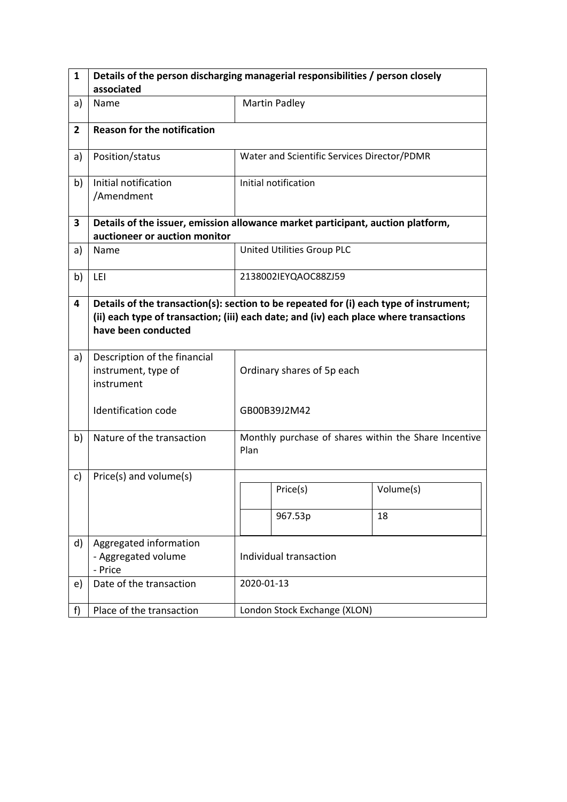| 1              | Details of the person discharging managerial responsibilities / person closely                                                                                                                          |                        |                                                       |           |  |
|----------------|---------------------------------------------------------------------------------------------------------------------------------------------------------------------------------------------------------|------------------------|-------------------------------------------------------|-----------|--|
|                | associated                                                                                                                                                                                              |                        |                                                       |           |  |
| a)             | Name                                                                                                                                                                                                    |                        | <b>Martin Padley</b>                                  |           |  |
| $\overline{2}$ | <b>Reason for the notification</b>                                                                                                                                                                      |                        |                                                       |           |  |
| a)             | Position/status                                                                                                                                                                                         |                        | Water and Scientific Services Director/PDMR           |           |  |
| b)             | Initial notification<br>/Amendment                                                                                                                                                                      |                        | Initial notification                                  |           |  |
| 3              | Details of the issuer, emission allowance market participant, auction platform,<br>auctioneer or auction monitor                                                                                        |                        |                                                       |           |  |
| a)             | Name                                                                                                                                                                                                    |                        | United Utilities Group PLC                            |           |  |
| b)             | LEI                                                                                                                                                                                                     |                        | 2138002IEYQAOC88ZJ59                                  |           |  |
| 4              | Details of the transaction(s): section to be repeated for (i) each type of instrument;<br>(ii) each type of transaction; (iii) each date; and (iv) each place where transactions<br>have been conducted |                        |                                                       |           |  |
| a)             | Description of the financial<br>instrument, type of<br>instrument                                                                                                                                       |                        | Ordinary shares of 5p each                            |           |  |
|                | <b>Identification code</b>                                                                                                                                                                              |                        | GB00B39J2M42                                          |           |  |
| b)             | Nature of the transaction                                                                                                                                                                               | Plan                   | Monthly purchase of shares within the Share Incentive |           |  |
| c)             | Price(s) and volume(s)                                                                                                                                                                                  |                        |                                                       |           |  |
|                |                                                                                                                                                                                                         |                        | Price(s)                                              | Volume(s) |  |
|                |                                                                                                                                                                                                         |                        | 967.53p                                               | 18        |  |
| d)             | Aggregated information<br>- Aggregated volume<br>- Price                                                                                                                                                | Individual transaction |                                                       |           |  |
| e)             | Date of the transaction                                                                                                                                                                                 |                        | 2020-01-13                                            |           |  |
| f)             | Place of the transaction                                                                                                                                                                                |                        | London Stock Exchange (XLON)                          |           |  |